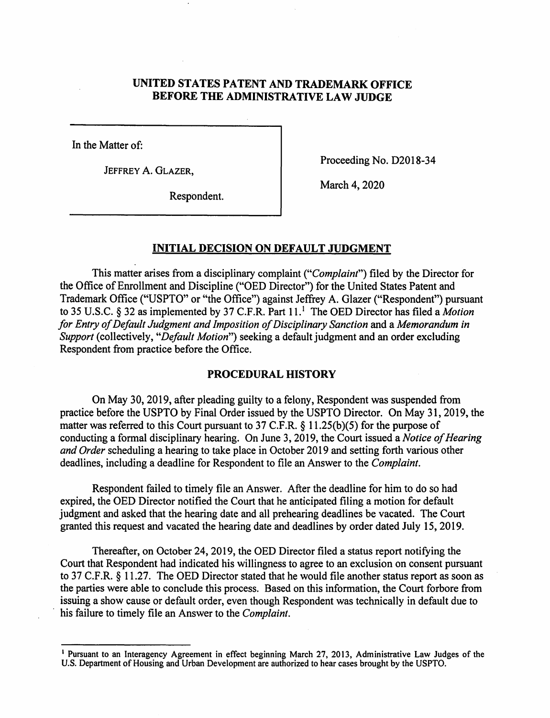# **UNITED STATES PATENT AND TRADEMARK OFFICE BEFORE THE ADMINISTRATIVE LAW JUDGE**

In the Matter of:

JEFFREY A. GLAZER,

Proceeding No. D2018-34

Respondent.

March 4, 2020

### **INITIAL DECISION ON DEFAULT JUDGMENT**

This matter arises from a disciplinary complaint *("Complaint")* filed by the Director for the Office of Enrollment and Discipline ("OED Director") for the United States Patent and Trademark Office ("USPTO" or "the Office") against Jeffrey A. Glazer ("Respondent") pursuant to 35 U.S.C. § 32 as implemented by 37 C.F.R. Part 11.<sup>1</sup> The OED Director has filed a *Motion for Entry of Default Judgment and Imposition of Disciplinary Sanction and a Memorandum in Support* (collectively, *"Default Motion")* seeking a default judgment and an order excluding Respondent from practice before the Office.

#### **PROCEDURAL HISTORY**

On May 30, 2019, after pleading guilty to a felony, Respondent was suspended from practice before the USPTO by Final Order issued by the USPTO Director. On May 31, 2019, the matter was referred to this Court pursuant to 37 C.F.R. § 11.25(b)(5) for the purpose of conducting a formal disciplinary hearing. On June 3, 2019, the Court issued a *Notice of Hearing and Order* scheduling a hearing to take place in October 2019 and setting forth various other deadlines, including a deadline for Respondent to file an Answer to the *Complaint.* 

Respondent failed to timely file an Answer. After the deadline for him to do so had expired, the OED Director notified the Court that he anticipated filing a motion for default judgment and asked that the hearing date and all prehearing deadlines be vacated. The Court granted this request and vacated the hearing date and deadlines by order dated July 15, 2019.

Thereafter, on October 24, 2019, the OED Director filed a status report notifying the Court that Respondent had indicated his willingness to agree to an exclusion on consent pursuant to 37 C.F.R. § 11.27. The OED Director stated that he would file another status report as soon as the parties were able to conclude this process. Based on this information, the Court forbore from issuing a show cause or default order, even though Respondent was technically in default due to his failure to timely file an Answer to the *Complaint*.

<sup>&</sup>lt;sup>1</sup> Pursuant to an Interagency Agreement in effect beginning March 27, 2013, Administrative Law Judges of the U.S. Department of Housing and Urban Development are authorized to hear cases brought by the USPTO.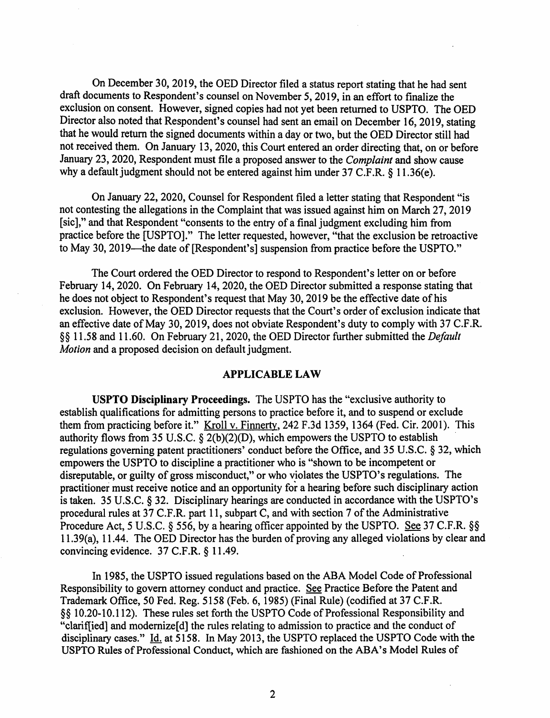On December 30, 2019, the OED Director filed a status report stating that he had sent draft documents to Respondent's counsel on November 5, 2019, in an effort to finalize the exclusion on consent. However, signed copies had not yet been returned to USPTO. The OED Director also noted that Respondent's counsel had sent an email on December 16, 2019, stating that he would return the signed documents within a day or two, but the OED Director still had not received them. On January 13, 2020, this Court entered an order directing that, on or before January 23, 2020, Respondent must file a proposed answer to the *Complaint* and show cause why a default judgment should not be entered against him under 37 C.F.R. § 11.36(e).

On January 22, 2020, Counsel for Respondent filed a letter stating that Respondent "is not contesting the allegations in the Complaint that was issued against him on March 27, 2019 [sic]," and that Respondent "consents to the entry of a final judgment excluding him from practice before the [USPTO]." The letter requested, however, "that the exclusion be retroactive to May 30, 2019—the date of [Respondent's] suspension from practice before the USPTO."

The Court ordered the OED Director to respond to Respondent's letter on or before February 14, 2020. On February 14, 2020, the OED Director submitted a response stating that he does not object to Respondent's request that May 30, 2019 be the effective date of his exclusion. However, the OED Director requests that the Court's order of exclusion indicate that an effective date of May 30, 2019, does not obviate Respondent's duty to comply with 37 C.F.R. §§ 11.58 and 11.60. On February 21, 2020, the OED Director further submitted the *Default Motion* and a proposed decision on default judgment.

### **APPLICABLE LAW**

**USPTO Disciplinary Proceedings.** The USPTO has the "exclusive authority to establish qualifications for admitting persons to practice before it, and to suspend or exclude them from practicing before it." Kroll v. Finnerty, 242 F.3d 1359, 1364 (Fed. Cir. 2001). This authority flows from 35 U.S.C.  $\S$  2(b)(2)(D), which empowers the USPTO to establish regulations governing patent practitioners' conduct before the Office, and 35 U.S.C. § 32, which empowers the USPTO to discipline a practitioner who is "shown to be incompetent or disreputable, or guilty of gross misconduct," or who violates the USPTO's regulations. The practitioner must receive notice and an opportunity for a hearing before such disciplinary action is taken. 35 U.S.C. § 32. Disciplinary hearings are conducted in accordance with the USPTO's procedural rules at 37 C.F.R. part 11, subpart C, and with section 7 of the Administrative Procedure Act, 5 U.S.C. § 556, by a hearing officer appointed by the USPTO. See 37 C.F.R. §§ 11.39(a), 11.44. The OED Director has the burden of proving any alleged violations by clear and convincing evidence. 37 C.F.R. § 11.49.

In 1985, the USPTO issued regulations based on the ABA Model Code of Professional Responsibility to govern attorney conduct and practice. See Practice Before the Patent and Trademark Office, 50 Fed. Reg. 5158 (Feb. 6, 1985) (Final Rule) (codified at 37 C.F.R. §§ 10.20-10.112). These rules set forth the USPTO Code of Professional Responsibility and "clarif[ied] and modernize[ d] the rules relating to admission to practice and the conduct of disciplinary cases." Id. at 5158. In May 2013, the USPTO replaced the USPTO Code with the USPTO Rules of Professional Conduct, which are fashioned on the ABA's Model Rules of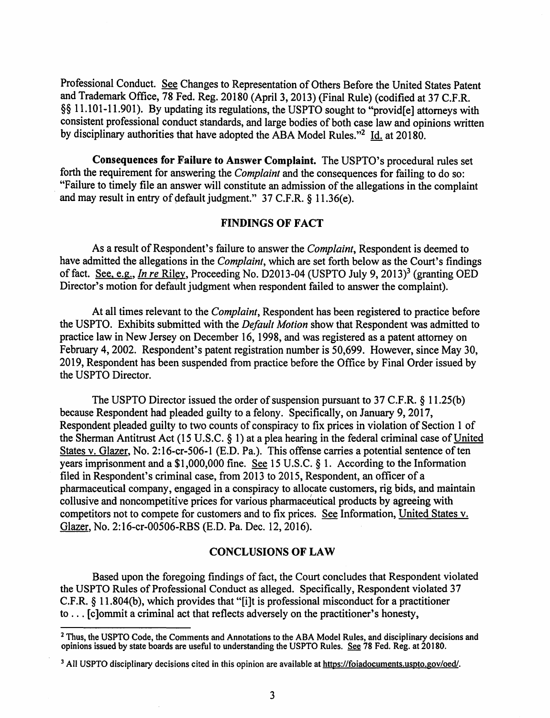Professional Conduct. See Changes to Representation of Others Before the United States Patent and Trademark Office, 78 Fed. Reg. 20180 (April 3, 2013) (Final Rule) (codified at 37 C.F.R. §§ 11.101-11.901). By updating its regulations, the USPTO sought to "provid[e] attorneys with consistent professional conduct standards, and large bodies of both case law and opinions written by disciplinary authorities that have adopted the ABA Model Rules. "2 Id. at 20180.

**Consequences for Failure to Answer Complaint.** The USPTO's procedural rules set forth the requirement for answering the *Complaint* and the consequences for failing to do so: "Failure to timely file an answer will constitute an admission of the allegations in the complaint and may result in entry of default judgment."  $37$  C.F.R. § 11.36(e).

### **FINDINGS OF FACT**

As a result of Respondent's failure to answer the *Complaint*, Respondent is deemed to have admitted the allegations in the *Complaint,* which are set forth below as the Court's findings of fact. See, e.g., *In re* Riley, Proceeding No. D2013-04 (USPTO July 9, 2013)<sup>3</sup> (granting OED Director's motion for default judgment when respondent failed to answer the complaint).

At all times relevant to the *Complaint,* Respondent has been registered to practice before the USPTO. Exhibits submitted with the *Default Motion* show that Respondent was admitted to practice law in New Jersey on December 16, 1998, and was registered as a patent attorney on February 4, 2002. Respondent's patent registration number is 50,699. However, since May 30, 2019, Respondent has been suspended from practice before the Office by Final Order issued by the USPTO Director.

The USPTO Director issued the order of suspension pursuant to 37 C.F.R.  $\S$  11.25(b) because Respondent had pleaded guilty to a felony. Specifically, on January 9, 2017, Respondent pleaded guilty to two counts of conspiracy to fix prices in violation of Section 1 of the Sherman Antitrust Act (15 U.S.C. § 1) at a plea hearing in the federal criminal case of United States v. Glazer, No. 2:16-cr-506-1 (E.D. Pa.). This offense carries a potential sentence of ten years imprisonment and a \$1,000,000 fine. See 15 U.S.C. § 1. According to the Information filed in Respondent's criminal case, from 2013 to 2015, Respondent, an officer of a pharmaceutical company, engaged in a conspiracy to allocate customers, rig bids, and maintain collusive and noncompetitive prices for various pharmaceutical products by agreeing with competitors not to compete for customers and to fix prices. See Information, United States v. Glazer, No. 2:16-cr-00506-RBS (E.D. Pa. Dec. 12, 2016).

#### **CONCLUSIONS OF LAW**

Based upon the foregoing findings of fact, the Court concludes that Respondent violated the USPTO Rules of Professional Conduct as alleged. Specifically, Respondent violated 37 C.F.R. § 11.804(b), which provides that "[i]t is professional misconduct for a practitioner to ... [c]ommit a criminal act that reflects adversely on the practitioner's honesty,

<sup>&</sup>lt;sup>2</sup> Thus, the USPTO Code, the Comments and Annotations to the ABA Model Rules, and disciplinary decisions and opinions issued by state boards are useful to understanding the USPTO Rules. See 78 Fed. Reg. at 20180.

<sup>&</sup>lt;sup>3</sup> All USPTO disciplinary decisions cited in this opinion are available at [https://foiadocuments.uspto.gov/oed/](https://foiadocuments.uspto.gov/oed).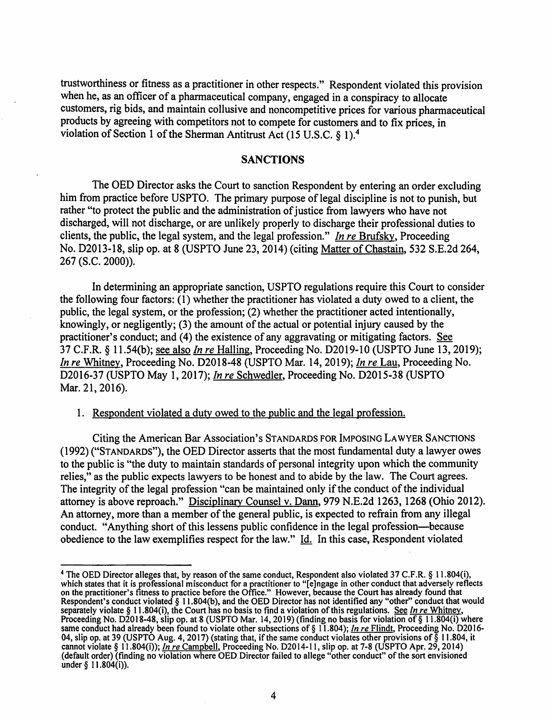trustworthiness or fitness as a practitioner in other respects." Respondent violated this provision when he, as an officer of a pharmaceutical company, engaged in a conspiracy to allocate customers, rig bids, and maintain collusive and noncompetitive prices for various pharmaceutical products by agreeing with competitors not to compete for customers and to fix prices, in violation of Section 1 of the Sherman Antitrust Act (15 U.S.C.  $\delta$  1).<sup>4</sup>

### **SANCTIONS**

The OED Director asks the Court to sanction Respondent by entering an order excluding him from practice before USPTO. The primary purpose of legal discipline is not to punish, but rather "to protect the public and the administration of justice from lawyers who have not discharged, will not discharge, or are unlikely properly to discharge their professional duties to clients, the public, the legal system, and the legal profession." *In re* Brufsky, Proceeding No. D2013-18, slip op. at 8 (USPTO June 23, 2014) (citing Matter ofChastain, 532 S.E.2d 264, 267 (S.C. 2000)).

In determining an appropriate sanction, USPTO regulations require this Court to consider the following four factors: (1) whether the practitioner has violated a duty owed to a client, the public, the legal system, or the profession; (2) whether the practitioner acted intentionally, knowingly, or negligently;  $(3)$  the amount of the actual or potential injury caused by the practitioner's conduct; and (4) the existence of any aggravating or mitigating factors. See 37 C.F.R. § l l.54(b); see also *In re* Halling, Proceeding No. D2019-10 (USPTO June 13, 2019); *In re* Whitney. Proceeding No. D2018-48 (USPTO Mar. 14, 2019); *In re* Lau, Proceeding No. D2016-37 (USPTO May 1, 2017); *In re* Schwedler, Proceeding No. D2015-38 (USPTO Mar. 21, 2016).

I. Respondent violated a duty owed to the public and the legal profession.

Citing the American Bar Association's STANDARDS FOR IMPOSING LAWYER SANCTIONS (1992) ("STANDARDS"), the OED Director asserts that the most fundamental duty a lawyer owes to the public is "the duty to maintain standards of personal integrity upon which the community relies," as the public expects lawyers to be honest and to abide by the law. The Court agrees. The integrity of the legal profession "can be maintained only if the conduct of the individual attorney is above reproach." Disciplinary Counsel v. Dann, 979 N.E.2d 1263, 1268 (Ohio 2012). An attorney, more than a member of the general public, is expected to refrain from any illegal conduct. "Anything short of this lessens public confidence in the legal profession-because obedience to the law exemplifies respect for the law." Id. In this case, Respondent violated

<sup>&</sup>lt;sup>4</sup> The OED Director alleges that, by reason of the same conduct, Respondent also violated 37 C.F.R. § 11.804(i), which states that it is professional misconduct for a practitioner to "[e]ngage in other conduct that adversely reflects on the practitioner's fitness to practice before the Office." However, because the Court has already found that Respondent's conduct violated§ 11.804(b), and the OED Director has not identified any "other" conduct that would separately violate§ 11.804(i), the Court has no basis to find a violation ofthis regulations. See *In re* Whitney. Proceeding No. D2018-48, slip op. at 8 (USPTO Mar. 14, 2019) (finding no basis for violation of § 11.804(i) where same conduct had already been found to violate other subsections of§ 11.804); *In re* Flindt, Proceeding No. D2016- 04, slip op. at 39 (USPTO Aug. 4, 2017) (stating that, if the same conduct violates other provisions of§ 11.804, it cannot violate§ l l.804(i)); *In re* Campbell, Proceeding No. D2014-l l, slip op. at 7-8 (USPTO Apr. 29, 2014) (default order) (finding no violation where OED Director failed to allege "other conduct" of the sort envisioned under  $§$  11.80 $4(i)$ ).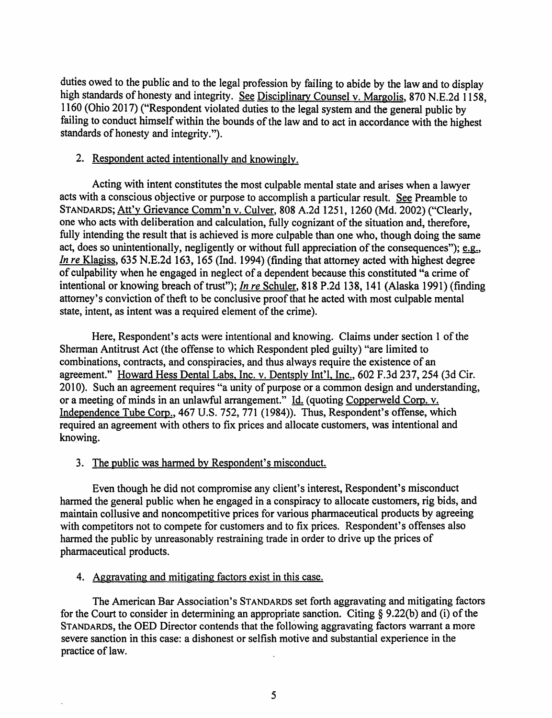duties owed to the public and to the legal profession by failing to abide by the law and to display high standards of honesty and integrity. See Disciplinary Counsel v. Margolis, 870 N.E.2d 1158. 1160 (Ohio 2017) ("Respondent violated duties to the legal system arid the general public by failing to conduct himself within the bounds of the law and to act in accordance with the highest standards of honesty and integrity.").

### 2. Respondent acted intentionally and knowingly.

Acting with intent constitutes the most culpable mental state and arises when a lawyer acts with a conscious objective or purpose to accomplish a particular result. See Preamble to STANDARDS; Att'y Grievance Comm'n v. Culver, 808 A.2d 1251, 1260 (Md. 2002) ("Clearly, one who acts with deliberation and calculation, fully cognizant of the situation and, therefore, fully intending the result that is achieved is more culpable than one who, though doing the same act, does so unintentionally, negligently or without full appreciation of the consequences");  $e.g.,$ *In re* Klagiss, 635 N.E.2d 163, 165 (Ind. 1994) (finding that attorney acted with highest degree of culpability when he engaged in neglect of a dependent because this constituted "a crime of intentional or knowing breach of trust"); *In re Schuler*, 818 P.2d 138, 141 (Alaska 1991) (finding attorney's conviction of theft to be conclusive proof that he acted with most culpable mental state, intent, as intent was a required element of the crime).

Here, Respondent's acts were intentional and knowing. Claims under section 1 of the Sherman Antitrust Act (the offense to which Respondent pied guilty) "are limited to combinations, contracts, and conspiracies, and thus always require the existence of an agreement." Howard Hess Dental Labs, Inc. v. Dentsply Int'l, Inc., 602 F.3d 237,254 (3d Cir. 2010). Such an agreement requires "a unity of purpose or a common design and understanding, or a meeting of minds in an unlawful arrangement." Id. ( quoting Copperweld Corp. v. Independence Tube Corp., 467 U.S. 752, 771 (1984)). Thus, Respondent's offense, which required an agreement with others to fix prices and allocate customers, was intentional and knowing.

# 3. The public was harmed by Respondent's misconduct.

Even though he did not compromise any client's interest, Respondent's misconduct harmed the general public when he engaged in a conspiracy to allocate customers, rig bids, and maintain collusive and noncompetitive prices for various pharmaceutical products by agreeing with competitors not to compete for customers and to fix prices. Respondent's offenses also harmed the public by unreasonably restraining trade in order to drive up the prices of pharmaceutical products.

# 4. Aggravating and mitigating factors exist in this case.

The American Bar Association's STANDARDS set forth aggravating and mitigating factors for the Court to consider in determining an appropriate sanction. Citing  $\S$  9.22(b) and (i) of the STANDARDS, the OED Director contends that the following aggravating factors warrant a more severe sanction in this case: a dishonest or selfish motive and substantial experience in the practice of law.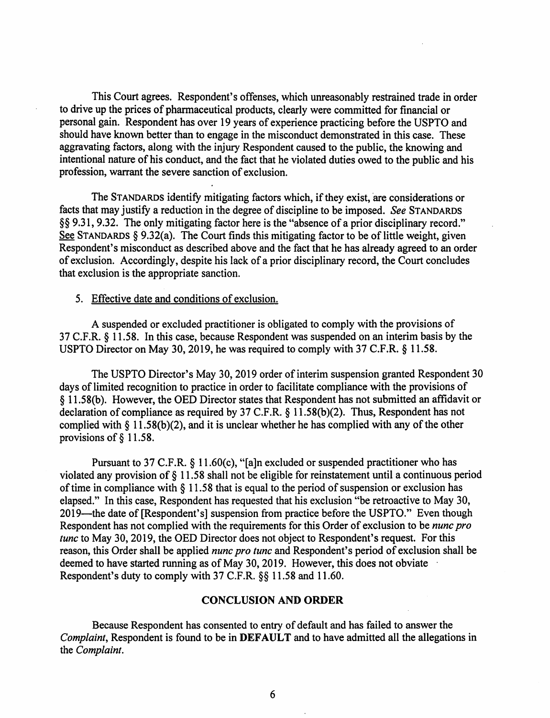This Court agrees. Respondent's offenses, which unreasonably restrained trade in order to drive up the prices of pharmaceutical products, clearly were committed for financial or personal gain. Respondent has over 19 years of experience practicing before the USPTO and should have known better than to engage in the misconduct demonstrated in this case. These aggravating factors, along with the injury Respondent caused to the public, the knowing and intentional nature of his conduct, and the fact that he violated duties owed to the public and his profession, warrant the severe sanction of exclusion.

The STANDARDS identify mitigating factors which, if they exist, are considerations or facts that may justify a reduction in the degree of discipline to be imposed. *See* STANDARDS §§ 9.31, 9.32. The only mitigating factor here is the "absence of a prior disciplinary record." See STANDARDS § 9.32(a). The Court finds this mitigating factor to be of little weight, given Respondent's misconduct as described above and the fact that he has already agreed to an order of exclusion. Accordingly, despite his lack of a prior disciplinary record, the Court concludes that exclusion is the appropriate sanction.

#### 5. Effective date and conditions of exclusion.

A suspended or excluded practitioner is obligated to comply with the provisions of 37 C.F.R. § 11.58. In this case, because Respondent was suspended on an interim basis by the USPTO Director on May 30, 2019, he was required to comply with 37 C.F.R. § 11.58.

The USPTO Director's May 30, 2019 order of interim suspension granted Respondent 30 days of limited recognition to practice in order to facilitate compliance with the provisions of § 11.58(b ). However, the OED Director states that Respondent has not submitted an affidavit or declaration of compliance as required by 37 C.F.R. § 11.58(b)(2). Thus, Respondent has not complied with § 11.58(b)(2), and it is unclear whether he has complied with any of the other provisions of§ 11.58.

Pursuant to 37 C.F.R. § 11.60(c), "[a]n excluded or suspended practitioner who has violated any provision of§ 11.58 shall not be eligible for reinstatement until a continuous period of time in compliance with  $\S$  11.58 that is equal to the period of suspension or exclusion has elapsed." In this case, Respondent has requested that his exclusion "be retroactive to May 30, 2019—the date of [Respondent's] suspension from practice before the USPTO." Even though Respondent has not complied with the requirements for this Order of exclusion to be *nune pro tune* to May 30, 2019, the OED Director does not object to Respondent's request. For this reason, this Order shall be applied *nune pro tune* and Respondent's period of exclusion shall be deemed to have started running as of May 30, 2019. However, this does not obviate Respondent's duty to comply with 37 C.F.R. §§ 11.58 and 11.60.

#### **CONCLUSION AND ORDER**

Because Respondent has consented to entry of default and has failed to answer the *Complaint,* Respondent is found to be in **DEFAULT** and to have admitted all the allegations in the *Complaint.*